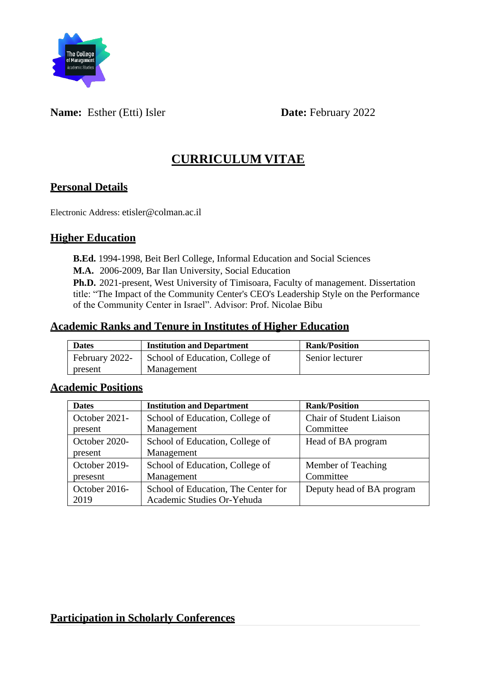

### **Name:** Esther (Etti) Isler **Date:** February 2022

# **CURRICULUM VITAE**

#### **Personal Details**

Electronic Address: etisler@colman.ac.il

#### **Higher Education**

**B.Ed.** 1994-1998, Beit Berl College, Informal Education and Social Sciences

**M.A.** 2006-2009, Bar Ilan University, Social Education

**Ph.D.** 2021-present, West University of Timisoara, Faculty of management. Dissertation title: "The Impact of the Community Center's CEO's Leadership Style on the Performance of the Community Center in Israel". Advisor: Prof. Nicolae Bibu

#### **Academic Ranks and Tenure in Institutes of Higher Education**

| <b>Dates</b>   | <b>Institution and Department</b> | <b>Rank/Position</b> |
|----------------|-----------------------------------|----------------------|
| February 2022- | School of Education, College of   | Senior lecturer      |
| present        | Management                        |                      |

#### **Academic Positions**

| <b>Dates</b>  | <b>Institution and Department</b>   | <b>Rank/Position</b>            |
|---------------|-------------------------------------|---------------------------------|
| October 2021- | School of Education, College of     | <b>Chair of Student Liaison</b> |
| present       | Management                          | Committee                       |
| October 2020- | School of Education, College of     | Head of BA program              |
| present       | Management                          |                                 |
| October 2019- | School of Education, College of     | Member of Teaching              |
| presesnt      | Management                          | Committee                       |
| October 2016- | School of Education, The Center for | Deputy head of BA program       |
| 2019          | Academic Studies Or-Yehuda          |                                 |

### **Participation in Scholarly Conferences**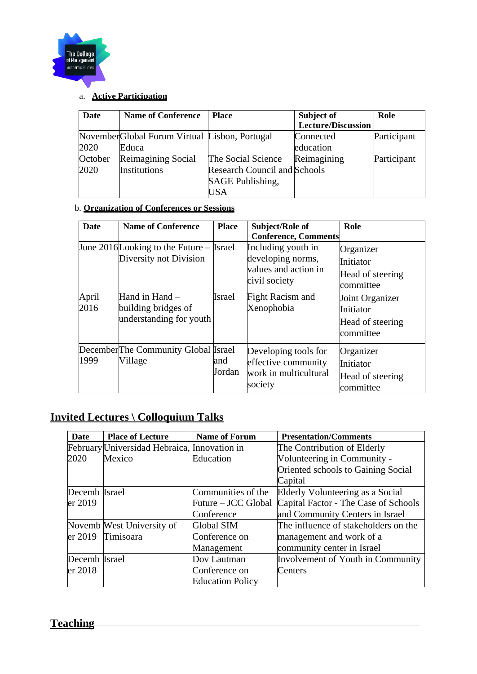

## a. **Active Participation**

| Date    | <b>Name of Conference</b>                      | <b>Place</b>                        | Subject of         | Role        |
|---------|------------------------------------------------|-------------------------------------|--------------------|-------------|
|         |                                                |                                     | Lecture/Discussion |             |
|         | November Global Forum Virtual Lisbon, Portugal |                                     | Connected          | Participant |
| 2020    | Educa                                          |                                     | education          |             |
| October | Reimagining Social                             | The Social Science                  | Reimagining        | Participant |
| 2020    | Institutions                                   | <b>Research Council and Schools</b> |                    |             |
|         |                                                | SAGE Publishing,                    |                    |             |
|         |                                                | USA                                 |                    |             |

#### b. **Organization of Conferences or Sessions**

| Date          | <b>Name of Conference</b>                                             | <b>Place</b>  | Subject/Role of<br><b>Conference, Comments</b>                                   | Role                                                          |
|---------------|-----------------------------------------------------------------------|---------------|----------------------------------------------------------------------------------|---------------------------------------------------------------|
|               | June 2016 Looking to the Future $-$ [srael]<br>Diversity not Division |               | Including youth in<br>developing norms,<br>values and action in<br>civil society | Organizer<br>Initiator<br>Head of steering<br>committee       |
| April<br>2016 | Hand in Hand –<br>building bridges of<br>understanding for youth      | Israel        | Fight Racism and<br>Xenophobia                                                   | Joint Organizer<br>Initiator<br>Head of steering<br>committee |
| 1999          | DecemberThe Community Global Israel<br>Village                        | and<br>Jordan | Developing tools for<br>effective community<br>work in multicultural<br>society  | Organizer<br>Initiator<br>Head of steering<br>committee       |

# **Invited Lectures \ Colloquium Talks**

| Date          | <b>Place of Lecture</b>                      | <b>Name of Forum</b>    | <b>Presentation/Comments</b>         |
|---------------|----------------------------------------------|-------------------------|--------------------------------------|
|               | February Universidad Hebraica, Innovation in |                         | The Contribution of Elderly          |
| 2020          | Mexico                                       | Education               | Volunteering in Community -          |
|               |                                              |                         | Oriented schools to Gaining Social   |
|               |                                              |                         | Capital                              |
| Decemb Israel |                                              | Communities of the      | Elderly Volunteering as a Social     |
| er 2019       |                                              | Future – JCC Global     | Capital Factor - The Case of Schools |
|               |                                              | Conference              | and Community Centers in Israel      |
|               | Novemb West University of                    | <b>Global SIM</b>       | The influence of stakeholders on the |
| er 2019       | Timisoara                                    | Conference on           | management and work of a             |
|               |                                              | Management              | community center in Israel           |
| Decemb Israel |                                              | Dov Lautman             | Involvement of Youth in Community    |
| er 2018       |                                              | Conference on           | Centers                              |
|               |                                              | <b>Education Policy</b> |                                      |

# **Teaching**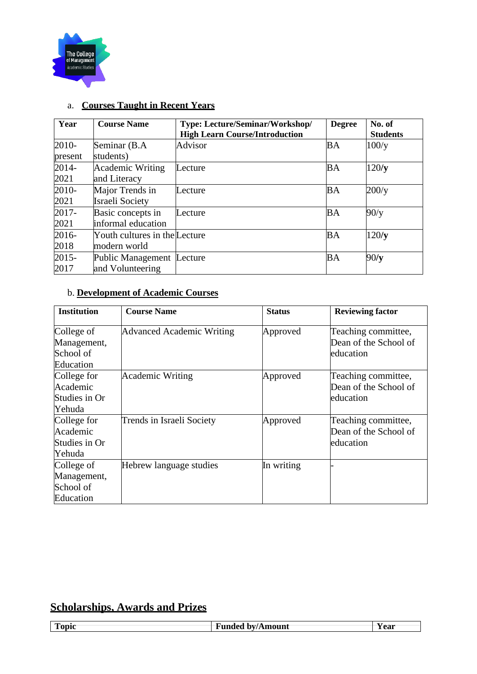

| Year     | <b>Course Name</b>            | <b>Type: Lecture/Seminar/Workshop/</b> | <b>Degree</b> | No. of          |
|----------|-------------------------------|----------------------------------------|---------------|-----------------|
|          |                               | <b>High Learn Course/Introduction</b>  |               | <b>Students</b> |
| 2010-    | Seminar (B.A                  | Advisor                                | <b>BA</b>     | 100/y           |
| present  | students)                     |                                        |               |                 |
| $2014 -$ | Academic Writing              | Lecture                                | <b>BA</b>     | 120/y           |
| 2021     | and Literacy                  |                                        |               |                 |
| 2010-    | Major Trends in               | Lecture                                | <b>BA</b>     | 200/y           |
| 2021     | Israeli Society               |                                        |               |                 |
| 2017-    | Basic concepts in             | Lecture                                | <b>BA</b>     | 90/y            |
| 2021     | informal education            |                                        |               |                 |
| 2016-    | Youth cultures in the Lecture |                                        | <b>BA</b>     | 120/y           |
| 2018     | modern world                  |                                        |               |                 |
| 2015-    | Public Management             | Lecture                                | <b>BA</b>     | 90/y            |
| 2017     | and Volunteering              |                                        |               |                 |

## a. **Courses Taught in Recent Years**

#### b. **Development of Academic Courses**

| <b>Institution</b>                                  | <b>Course Name</b>               | <b>Status</b> | <b>Reviewing factor</b>                                   |
|-----------------------------------------------------|----------------------------------|---------------|-----------------------------------------------------------|
| College of<br>Management,<br>School of<br>Education | <b>Advanced Academic Writing</b> | Approved      | Teaching committee,<br>Dean of the School of<br>education |
| College for<br>Academic<br>Studies in Or<br>Yehuda  | <b>Academic Writing</b>          | Approved      | Teaching committee,<br>Dean of the School of<br>education |
| College for<br>Academic<br>Studies in Or<br>Yehuda  | <b>Trends in Israeli Society</b> | Approved      | Teaching committee,<br>Dean of the School of<br>education |
| College of<br>Management,<br>School of<br>Education | Hebrew language studies          | In writing    |                                                           |

## **Scholarships, Awards and Prizes**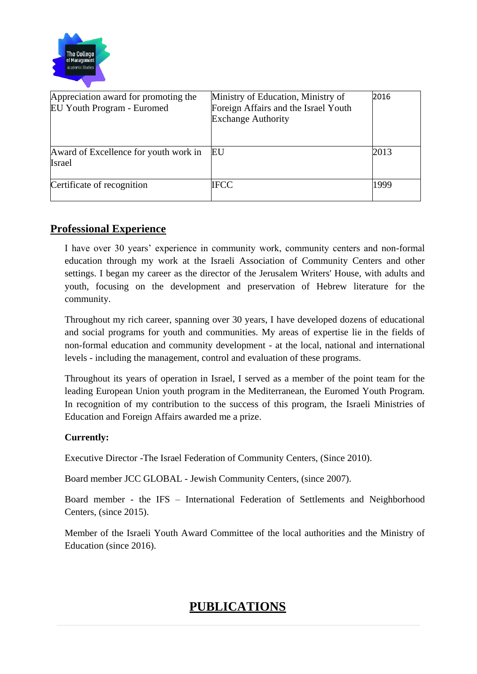

| Appreciation award for promoting the<br>EU Youth Program - Euromed | Ministry of Education, Ministry of<br>Foreign Affairs and the Israel Youth<br><b>Exchange Authority</b> | 2016 |
|--------------------------------------------------------------------|---------------------------------------------------------------------------------------------------------|------|
| Award of Excellence for youth work in<br><b>Israel</b>             | EU                                                                                                      | 2013 |
| Certificate of recognition                                         | <b>IFCC</b>                                                                                             | 1999 |

### **Professional Experience**

I have over 30 years' experience in community work, community centers and non-formal education through my work at the Israeli Association of Community Centers and other settings. I began my career as the director of the Jerusalem Writers' House, with adults and youth, focusing on the development and preservation of Hebrew literature for the community.

Throughout my rich career, spanning over 30 years, I have developed dozens of educational and social programs for youth and communities. My areas of expertise lie in the fields of non-formal education and community development - at the local, national and international levels - including the management, control and evaluation of these programs.

Throughout its years of operation in Israel, I served as a member of the point team for the leading European Union youth program in the Mediterranean, the Euromed Youth Program. In recognition of my contribution to the success of this program, the Israeli Ministries of Education and Foreign Affairs awarded me a prize.

#### **Currently:**

Executive Director -The Israel Federation of Community Centers, (Since 2010).

Board member JCC GLOBAL - Jewish Community Centers, (since 2007).

Board member - the IFS – International Federation of Settlements and Neighborhood Centers, (since 2015).

Member of the Israeli Youth Award Committee of the local authorities and the Ministry of Education (since 2016).

# **PUBLICATIONS**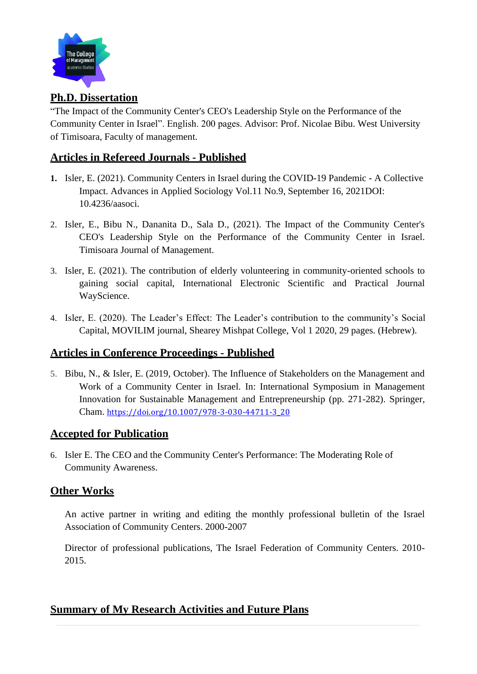

### **Ph.D. Dissertation**

"The Impact of the Community Center's CEO's Leadership Style on the Performance of the Community Center in Israel". English. 200 pages. Advisor: Prof. Nicolae Bibu. West University of Timisoara, Faculty of management.

#### **Articles in Refereed Journals - Published**

- **1.** Isler, E. (2021). Community Centers in Israel during the COVID-19 Pandemic A Collective Impact. Advances in Applied Sociology Vol.11 No.9, September 16, 2021DOI: 10.4236/aasoci.
- 2. Isler, E., Bibu N., Dananita D., Sala D., (2021). The Impact of the Community Center's CEO's Leadership Style on the Performance of the Community Center in Israel. Timisoara Journal of Management.
- 3. Isler, E. (2021). The contribution of elderly volunteering in community-oriented schools to gaining social capital, International Electronic Scientific and Practical Journal WayScience.
- 4. Isler, E. (2020). The Leader's Effect: The Leader's contribution to the community's Social Capital, MOVILIM journal, Shearey Mishpat College, Vol 1 2020, 29 pages. (Hebrew).

#### **Articles in Conference Proceedings - Published**

5. Bibu, N., & Isler, E. (2019, October). The Influence of Stakeholders on the Management and Work of a Community Center in Israel. In: International Symposium in Management Innovation for Sustainable Management and Entrepreneurship (pp. 271-282). Springer, Cham. [https://doi.org/10.1007/978-3-030-44711-3\\_20](https://doi.org/10.1007/978-3-030-44711-3_20)

#### **Accepted for Publication**

6. Isler E. The CEO and the Community Center's Performance: The Moderating Role of Community Awareness.

#### **Other Works**

An active partner in writing and editing the monthly professional bulletin of the Israel Association of Community Centers. 2000-2007

Director of professional publications, The Israel Federation of Community Centers. 2010- 2015.

#### **Summary of My Research Activities and Future Plans**